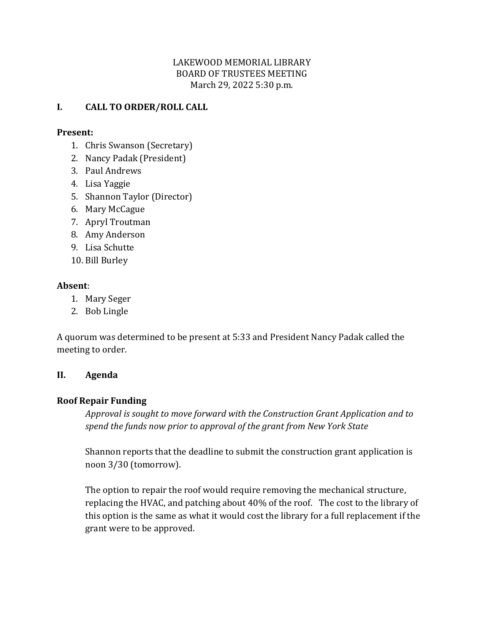## LAKEWOOD MEMORIAL LIBRARY BOARD OF TRUSTEES MEETING March 29, 2022 5:30 p.m.

# **I. CALL TO ORDER/ROLL CALL**

#### **Present:**

- 1. Chris Swanson (Secretary)
- 2. Nancy Padak (President)
- 3. Paul Andrews
- 4. Lisa Yaggie
- 5. Shannon Taylor (Director)
- 6. Mary McCague
- 7. Apryl Troutman
- 8. Amy Anderson
- 9. Lisa Schutte
- 10. Bill Burley

#### **Absent**:

- 1. Mary Seger
- 2. Bob Lingle

A quorum was determined to be present at 5:33 and President Nancy Padak called the meeting to order.

#### **II. Agenda**

## **Roof Repair Funding**

*Approval is sought to move forward with the Construction Grant Application and to spend the funds now prior to approval of the grant from New York State*

Shannon reports that the deadline to submit the construction grant application is noon 3/30 (tomorrow).

The option to repair the roof would require removing the mechanical structure, replacing the HVAC, and patching about 40% of the roof. The cost to the library of this option is the same as what it would cost the library for a full replacement if the grant were to be approved.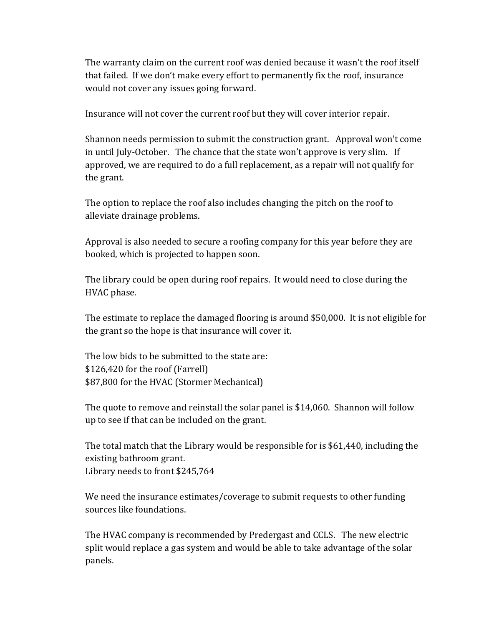The warranty claim on the current roof was denied because it wasn't the roof itself that failed. If we don't make every effort to permanently fix the roof, insurance would not cover any issues going forward.

Insurance will not cover the current roof but they will cover interior repair.

Shannon needs permission to submit the construction grant. Approval won't come in until July-October. The chance that the state won't approve is very slim. If approved, we are required to do a full replacement, as a repair will not qualify for the grant.

The option to replace the roof also includes changing the pitch on the roof to alleviate drainage problems.

Approval is also needed to secure a roofing company for this year before they are booked, which is projected to happen soon.

The library could be open during roof repairs. It would need to close during the HVAC phase.

The estimate to replace the damaged flooring is around \$50,000. It is not eligible for the grant so the hope is that insurance will cover it.

The low bids to be submitted to the state are: \$126,420 for the roof (Farrell) \$87,800 for the HVAC (Stormer Mechanical)

The quote to remove and reinstall the solar panel is \$14,060. Shannon will follow up to see if that can be included on the grant.

The total match that the Library would be responsible for is \$61,440, including the existing bathroom grant. Library needs to front \$245,764

We need the insurance estimates/coverage to submit requests to other funding sources like foundations.

The HVAC company is recommended by Predergast and CCLS. The new electric split would replace a gas system and would be able to take advantage of the solar panels.